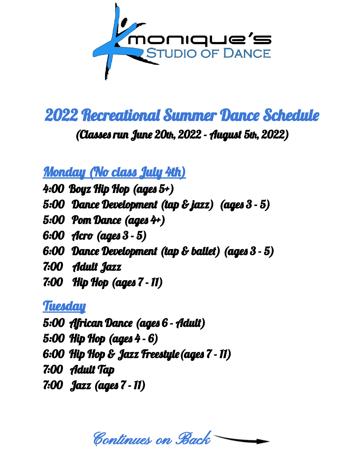

2022 Recreational Summer Dance Schedule

(Classes run June 20th, 2022 - August 5th, 2022)

Monday (No class July 4th)

- 4:00 Boyz Hip Hop (ages 5+)
- 5:00 Dance Development (tap & jazz) (ages 3 5)
- 5:00 Pom Dance (ages 4+)
- 6:00 Acro (ages 3 5)
- 6:00 Dance Development (tap & ballet) (ages 3 5)
- 7:00 Adult Jazz
- 7:00 Hip Hop (ages 7 11)

## **Tuesday**

5:00 African Dance (ages 6 - Adult) 5:00 Hip Hop (ages 4 - 6) 6:00 Hip Hop & Jazz Freestyle(ages 7 - 11) 7:00 Adult Tap 7:00 Jazz (ages 7 - 11)

Continues on Back